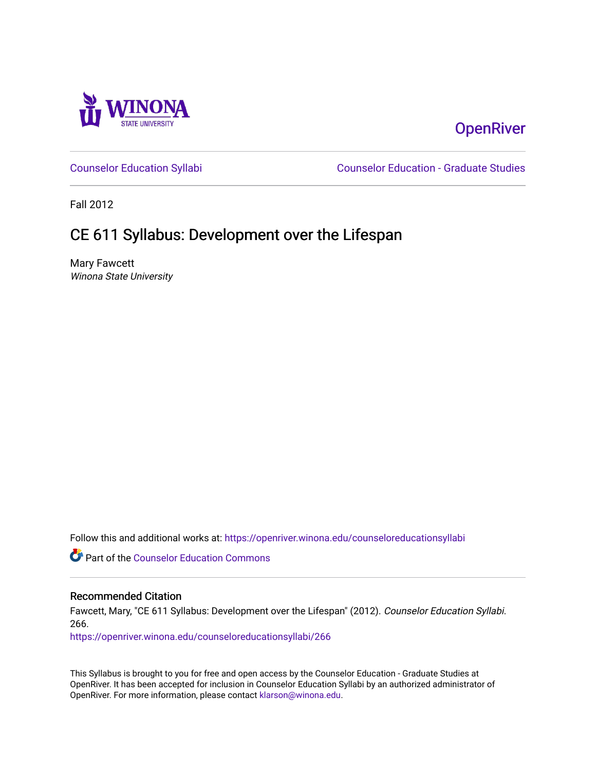

# **OpenRiver**

[Counselor Education Syllabi](https://openriver.winona.edu/counseloreducationsyllabi) [Counselor Education - Graduate Studies](https://openriver.winona.edu/counseloreducation) 

Fall 2012

# CE 611 Syllabus: Development over the Lifespan

Mary Fawcett Winona State University

Follow this and additional works at: [https://openriver.winona.edu/counseloreducationsyllabi](https://openriver.winona.edu/counseloreducationsyllabi?utm_source=openriver.winona.edu%2Fcounseloreducationsyllabi%2F266&utm_medium=PDF&utm_campaign=PDFCoverPages)

Part of the [Counselor Education Commons](http://network.bepress.com/hgg/discipline/1278?utm_source=openriver.winona.edu%2Fcounseloreducationsyllabi%2F266&utm_medium=PDF&utm_campaign=PDFCoverPages) 

# Recommended Citation

Fawcett, Mary, "CE 611 Syllabus: Development over the Lifespan" (2012). Counselor Education Syllabi. 266.

[https://openriver.winona.edu/counseloreducationsyllabi/266](https://openriver.winona.edu/counseloreducationsyllabi/266?utm_source=openriver.winona.edu%2Fcounseloreducationsyllabi%2F266&utm_medium=PDF&utm_campaign=PDFCoverPages)

This Syllabus is brought to you for free and open access by the Counselor Education - Graduate Studies at OpenRiver. It has been accepted for inclusion in Counselor Education Syllabi by an authorized administrator of OpenRiver. For more information, please contact [klarson@winona.edu](mailto:klarson@winona.edu).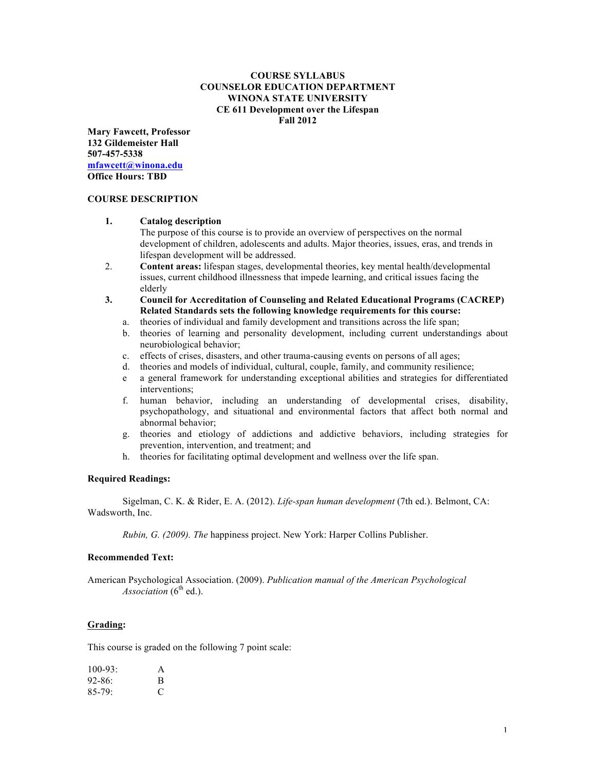## **COURSE SYLLABUS COUNSELOR EDUCATION DEPARTMENT WINONA STATE UNIVERSITY CE 611 Development over the Lifespan Fall 2012**

**Mary Fawcett, Professor 132 Gildemeister Hall 507-457-5338 mfawcett@winona.edu Office Hours: TBD**

#### **COURSE DESCRIPTION**

#### **1. Catalog description**

The purpose of this course is to provide an overview of perspectives on the normal development of children, adolescents and adults. Major theories, issues, eras, and trends in lifespan development will be addressed.

- 2. **Content areas:** lifespan stages, developmental theories, key mental health/developmental issues, current childhood illnessness that impede learning, and critical issues facing the elderly
- **3. Council for Accreditation of Counseling and Related Educational Programs (CACREP) Related Standards sets the following knowledge requirements for this course:**
	- a. theories of individual and family development and transitions across the life span;
	- b. theories of learning and personality development, including current understandings about neurobiological behavior;
	- c. effects of crises, disasters, and other trauma-causing events on persons of all ages;
	- d. theories and models of individual, cultural, couple, family, and community resilience;
	- e a general framework for understanding exceptional abilities and strategies for differentiated interventions;
	- f. human behavior, including an understanding of developmental crises, disability, psychopathology, and situational and environmental factors that affect both normal and abnormal behavior;
	- g. theories and etiology of addictions and addictive behaviors, including strategies for prevention, intervention, and treatment; and
	- h. theories for facilitating optimal development and wellness over the life span.

#### **Required Readings:**

Sigelman, C. K. & Rider, E. A. (2012). *Life-span human development* (7th ed.). Belmont, CA: Wadsworth, Inc.

*Rubin, G. (2009). The* happiness project. New York: Harper Collins Publisher.

#### **Recommended Text:**

American Psychological Association. (2009). *Publication manual of the American Psychological*   $A$ *ssociation* ( $6<sup>th</sup>$  ed.).

#### **Grading:**

This course is graded on the following 7 point scale:

| $100 - 93$ : | A |
|--------------|---|
| $92 - 86$ :  | B |
| $85 - 79$ :  | € |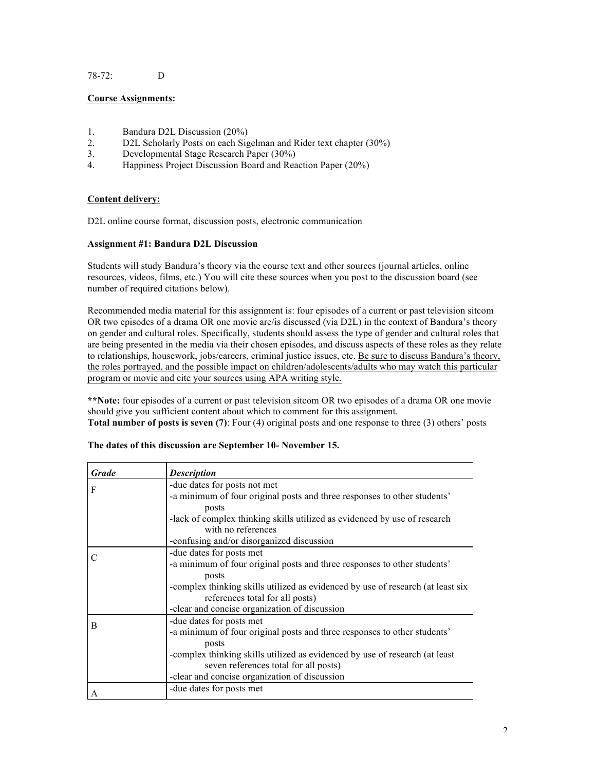## 78-72: D

## **Course Assignments:**

- 1. Bandura D2L Discussion (20%)
- 2. D2L Scholarly Posts on each Sigelman and Rider text chapter (30%)
- 3. Developmental Stage Research Paper (30%)
- 4. Happiness Project Discussion Board and Reaction Paper (20%)

#### **Content delivery:**

D2L online course format, discussion posts, electronic communication

#### **Assignment #1: Bandura D2L Discussion**

Students will study Bandura's theory via the course text and other sources (journal articles, online resources, videos, films, etc.) You will cite these sources when you post to the discussion board (see number of required citations below).

Recommended media material for this assignment is: four episodes of a current or past television sitcom OR two episodes of a drama OR one movie are/is discussed (via D2L) in the context of Bandura's theory on gender and cultural roles. Specifically, students should assess the type of gender and cultural roles that are being presented in the media via their chosen episodes, and discuss aspects of these roles as they relate to relationships, housework, jobs/careers, criminal justice issues, etc. Be sure to discuss Bandura's theory, the roles portrayed, and the possible impact on children/adolescents/adults who may watch this particular program or movie and cite your sources using APA writing style.

**\*\*Note:** four episodes of a current or past television sitcom OR two episodes of a drama OR one movie should give you sufficient content about which to comment for this assignment. **Total number of posts is seven (7)**: Four (4) original posts and one response to three (3) others' posts

| <b>Grade</b> | <b>Description</b>                                                              |
|--------------|---------------------------------------------------------------------------------|
| F            | -due dates for posts not met                                                    |
|              | -a minimum of four original posts and three responses to other students'        |
|              | posts                                                                           |
|              | -lack of complex thinking skills utilized as evidenced by use of research       |
|              | with no references                                                              |
|              | -confusing and/or disorganized discussion                                       |
| C            | -due dates for posts met                                                        |
|              | -a minimum of four original posts and three responses to other students'        |
|              | posts                                                                           |
|              | -complex thinking skills utilized as evidenced by use of research (at least six |
|              | references total for all posts)                                                 |
|              | -clear and concise organization of discussion                                   |
| B            | -due dates for posts met                                                        |
|              | -a minimum of four original posts and three responses to other students'        |
|              | posts                                                                           |
|              | -complex thinking skills utilized as evidenced by use of research (at least     |
|              | seven references total for all posts)                                           |
|              | -clear and concise organization of discussion                                   |
| A            | -due dates for posts met                                                        |
|              |                                                                                 |

#### **The dates of this discussion are September 10- November 15.**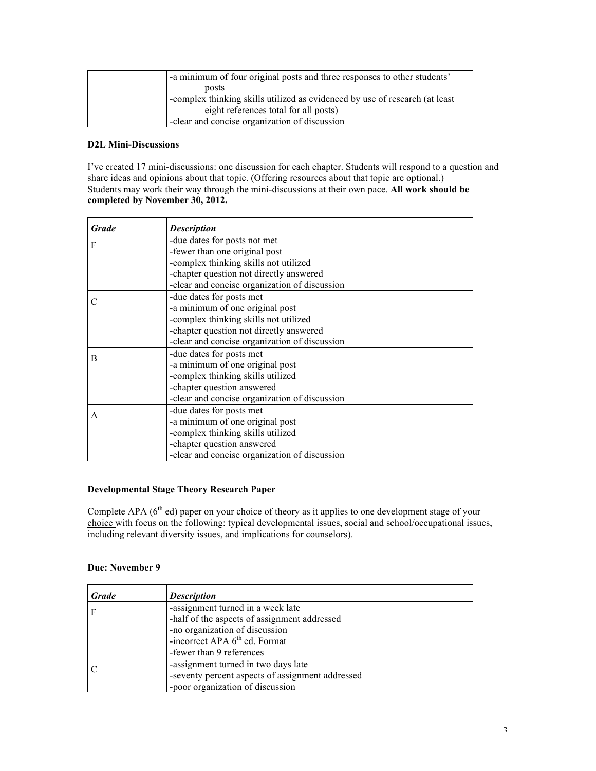| -a minimum of four original posts and three responses to other students'    |
|-----------------------------------------------------------------------------|
| posts                                                                       |
| -complex thinking skills utilized as evidenced by use of research (at least |
| eight references total for all posts)                                       |
| -clear and concise organization of discussion                               |

# **D2L Mini-Discussions**

I've created 17 mini-discussions: one discussion for each chapter. Students will respond to a question and share ideas and opinions about that topic. (Offering resources about that topic are optional.) Students may work their way through the mini-discussions at their own pace. **All work should be completed by November 30, 2012.**

| Grade | <b>Description</b>                            |
|-------|-----------------------------------------------|
| F     | -due dates for posts not met                  |
|       | -fewer than one original post                 |
|       | -complex thinking skills not utilized         |
|       | -chapter question not directly answered       |
|       | -clear and concise organization of discussion |
|       | -due dates for posts met                      |
|       | -a minimum of one original post               |
|       | -complex thinking skills not utilized         |
|       | -chapter question not directly answered       |
|       | -clear and concise organization of discussion |
| B     | -due dates for posts met                      |
|       | -a minimum of one original post               |
|       | -complex thinking skills utilized             |
|       | -chapter question answered                    |
|       | -clear and concise organization of discussion |
| A     | -due dates for posts met                      |
|       | -a minimum of one original post               |
|       | -complex thinking skills utilized             |
|       | -chapter question answered                    |
|       | -clear and concise organization of discussion |

## **Developmental Stage Theory Research Paper**

Complete APA (6<sup>th</sup> ed) paper on your choice of theory as it applies to <u>one development stage of your</u> choice with focus on the following: typical developmental issues, social and school/occupational issues, including relevant diversity issues, and implications for counselors).

## **Due: November 9**

| <b>Grade</b> | <b>Description</b>                                                                                                                                                                           |
|--------------|----------------------------------------------------------------------------------------------------------------------------------------------------------------------------------------------|
|              | -assignment turned in a week late<br>-half of the aspects of assignment addressed<br>-no organization of discussion<br>-incorrect APA 6 <sup>th</sup> ed. Format<br>-fewer than 9 references |
|              | -assignment turned in two days late<br>-seventy percent aspects of assignment addressed<br>-poor organization of discussion                                                                  |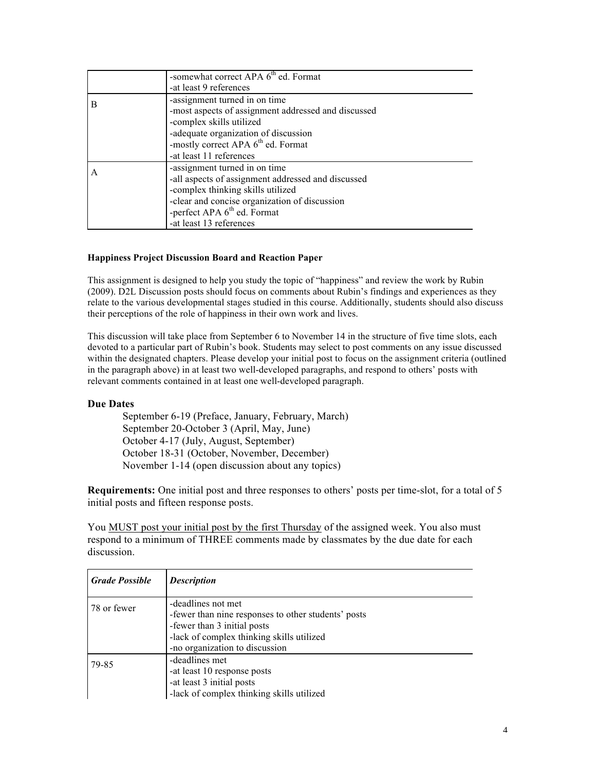|   | -somewhat correct APA 6 <sup>th</sup> ed. Format    |
|---|-----------------------------------------------------|
|   | -at least 9 references                              |
| B | -assignment turned in on time                       |
|   | -most aspects of assignment addressed and discussed |
|   | -complex skills utilized                            |
|   | -adequate organization of discussion                |
|   | -mostly correct APA 6 <sup>th</sup> ed. Format      |
|   | -at least 11 references                             |
|   | -assignment turned in on time                       |
|   | -all aspects of assignment addressed and discussed  |
|   | -complex thinking skills utilized                   |
|   | -clear and concise organization of discussion       |
|   | -perfect APA 6 <sup>th</sup> ed. Format             |
|   | -at least 13 references                             |

## **Happiness Project Discussion Board and Reaction Paper**

This assignment is designed to help you study the topic of "happiness" and review the work by Rubin (2009). D2L Discussion posts should focus on comments about Rubin's findings and experiences as they relate to the various developmental stages studied in this course. Additionally, students should also discuss their perceptions of the role of happiness in their own work and lives.

This discussion will take place from September 6 to November 14 in the structure of five time slots, each devoted to a particular part of Rubin's book. Students may select to post comments on any issue discussed within the designated chapters. Please develop your initial post to focus on the assignment criteria (outlined in the paragraph above) in at least two well-developed paragraphs, and respond to others' posts with relevant comments contained in at least one well-developed paragraph.

## **Due Dates**

September 6-19 (Preface, January, February, March) September 20-October 3 (April, May, June) October 4-17 (July, August, September) October 18-31 (October, November, December) November 1-14 (open discussion about any topics)

**Requirements:** One initial post and three responses to others' posts per time-slot, for a total of 5 initial posts and fifteen response posts.

You MUST post your initial post by the first Thursday of the assigned week. You also must respond to a minimum of THREE comments made by classmates by the due date for each discussion.

| <b>Grade Possible</b> | <b>Description</b>                                                                                                                                                                      |
|-----------------------|-----------------------------------------------------------------------------------------------------------------------------------------------------------------------------------------|
| 78 or fewer           | -deadlines not met<br>-fewer than nine responses to other students' posts<br>-fewer than 3 initial posts<br>-lack of complex thinking skills utilized<br>-no organization to discussion |
| 79-85                 | -deadlines met<br>-at least 10 response posts<br>-at least 3 initial posts<br>-lack of complex thinking skills utilized                                                                 |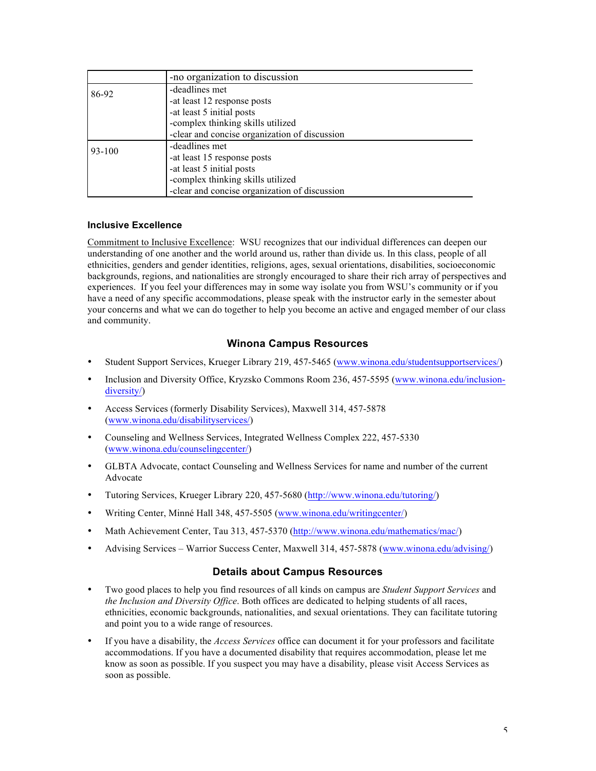|        | -no organization to discussion                |
|--------|-----------------------------------------------|
| 86-92  | -deadlines met                                |
|        | -at least 12 response posts                   |
|        | -at least 5 initial posts                     |
|        | -complex thinking skills utilized             |
|        | -clear and concise organization of discussion |
| 93-100 | -deadlines met                                |
|        | -at least 15 response posts                   |
|        | -at least 5 initial posts                     |
|        | -complex thinking skills utilized             |
|        | -clear and concise organization of discussion |

## **Inclusive Excellence**

Commitment to Inclusive Excellence: WSU recognizes that our individual differences can deepen our understanding of one another and the world around us, rather than divide us. In this class, people of all ethnicities, genders and gender identities, religions, ages, sexual orientations, disabilities, socioeconomic backgrounds, regions, and nationalities are strongly encouraged to share their rich array of perspectives and experiences. If you feel your differences may in some way isolate you from WSU's community or if you have a need of any specific accommodations, please speak with the instructor early in the semester about your concerns and what we can do together to help you become an active and engaged member of our class and community.

# **Winona Campus Resources**

- Student Support Services, Krueger Library 219, 457-5465 (www.winona.edu/studentsupportservices/)
- Inclusion and Diversity Office, Kryzsko Commons Room 236, 457-5595 (www.winona.edu/inclusiondiversity/)
- Access Services (formerly Disability Services), Maxwell 314, 457-5878 (www.winona.edu/disabilityservices/)
- Counseling and Wellness Services, Integrated Wellness Complex 222, 457-5330 (www.winona.edu/counselingcenter/)
- GLBTA Advocate, contact Counseling and Wellness Services for name and number of the current Advocate
- Tutoring Services, Krueger Library 220, 457-5680 (http://www.winona.edu/tutoring/)
- Writing Center, Minné Hall 348, 457-5505 (www.winona.edu/writingcenter/)
- Math Achievement Center, Tau 313, 457-5370 (http://www.winona.edu/mathematics/mac/)
- Advising Services Warrior Success Center, Maxwell 314, 457-5878 (www.winona.edu/advising/)

# **Details about Campus Resources**

- Two good places to help you find resources of all kinds on campus are *Student Support Services* and *the Inclusion and Diversity Office*. Both offices are dedicated to helping students of all races, ethnicities, economic backgrounds, nationalities, and sexual orientations. They can facilitate tutoring and point you to a wide range of resources.
- If you have a disability, the *Access Services* office can document it for your professors and facilitate accommodations. If you have a documented disability that requires accommodation, please let me know as soon as possible. If you suspect you may have a disability, please visit Access Services as soon as possible.